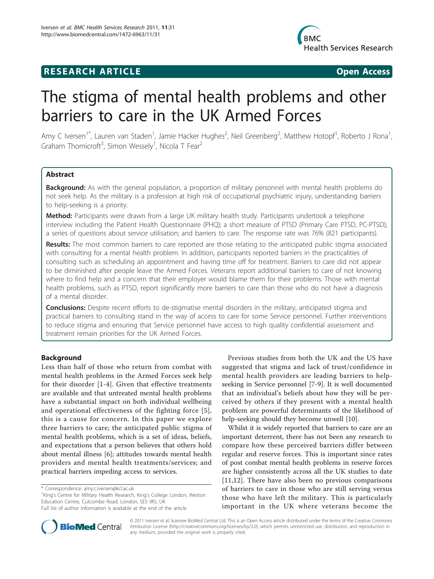## **RESEARCH ARTICLE Example 2018 Open Access**



# The stigma of mental health problems and other barriers to care in the UK Armed Forces

Amy C Iversen<sup>1\*</sup>, Lauren van Staden<sup>1</sup>, Jamie Hacker Hughes<sup>2</sup>, Neil Greenberg<sup>2</sup>, Matthew Hotopf<sup>1</sup>, Roberto J Rona<sup>1</sup> , Graham Thornicroft<sup>3</sup>, Simon Wessely<sup>1</sup>, Nicola T Fear<sup>2</sup>

## Abstract

Background: As with the general population, a proportion of military personnel with mental health problems do not seek help. As the military is a profession at high risk of occupational psychiatric injury, understanding barriers to help-seeking is a priority.

Method: Participants were drawn from a large UK military health study. Participants undertook a telephone interview including the Patient Health Questionnaire (PHQ); a short measure of PTSD (Primary Care PTSD, PC-PTSD); a series of questions about service utilisation; and barriers to care. The response rate was 76% (821 participants).

Results: The most common barriers to care reported are those relating to the anticipated public stigma associated with consulting for a mental health problem. In addition, participants reported barriers in the practicalities of consulting such as scheduling an appointment and having time off for treatment. Barriers to care did not appear to be diminished after people leave the Armed Forces. Veterans report additional barriers to care of not knowing where to find help and a concern that their employer would blame them for their problems. Those with mental health problems, such as PTSD, report significantly more barriers to care than those who do not have a diagnosis of a mental disorder.

**Conclusions:** Despite recent efforts to de-stigmatise mental disorders in the military, anticipated stigma and practical barriers to consulting stand in the way of access to care for some Service personnel. Further interventions to reduce stigma and ensuring that Service personnel have access to high quality confidential assessment and treatment remain priorities for the UK Armed Forces.

## Background

Less than half of those who return from combat with mental health problems in the Armed Forces seek help for their disorder [[1-4](#page-8-0)]. Given that effective treatments are available and that untreated mental health problems have a substantial impact on both individual wellbeing and operational effectiveness of the fighting force [[5\]](#page-8-0), this is a cause for concern. In this paper we explore three barriers to care; the anticipated public stigma of mental health problems, which is a set of ideas, beliefs, and expectations that a person believes that others hold about mental illness [\[6](#page-8-0)]; attitudes towards mental health providers and mental health treatments/services; and practical barriers impeding access to services.

\* Correspondence: [amy.c.iversen@kcl.ac.uk](mailto:amy.c.iversen@kcl.ac.uk)

<sup>1</sup>King's Centre for Military Health Research, King's College London, Weston Education Centre, Cutcombe Road, London, SE5 9RJ, UK

Previous studies from both the UK and the US have suggested that stigma and lack of trust/confidence in mental health providers are leading barriers to helpseeking in Service personnel [\[7](#page-8-0)-[9\]](#page-8-0). It is well documented that an individual's beliefs about how they will be perceived by others if they present with a mental health problem are powerful determinants of the likelihood of help-seeking should they become unwell [[10\]](#page-8-0).

Whilst it is widely reported that barriers to care are an important deterrent, there has not been any research to compare how these perceived barriers differ between regular and reserve forces. This is important since rates of post combat mental health problems in reserve forces are higher consistently across all the UK studies to date [[11,12](#page-8-0)]. There have also been no previous comparisons of barriers to care in those who are still serving versus those who have left the military. This is particularly important in the UK where veterans become the



© 2011 Iversen et al; licensee BioMed Central Ltd. This is an Open Access article distributed under the terms of the Creative Commons Attribution License [\(http://creativecommons.org/licenses/by/2.0](http://creativecommons.org/licenses/by/2.0)), which permits unrestricted use, distribution, and reproduction in any medium, provided the original work is properly cited.

Full list of author information is available at the end of the article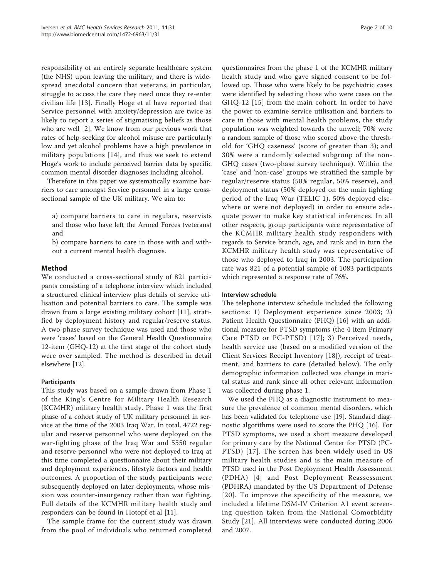responsibility of an entirely separate healthcare system (the NHS) upon leaving the military, and there is widespread anecdotal concern that veterans, in particular, struggle to access the care they need once they re-enter civilian life [[13](#page-9-0)]. Finally Hoge et al have reported that Service personnel with anxiety/depression are twice as likely to report a series of stigmatising beliefs as those who are well [[2\]](#page-8-0). We know from our previous work that rates of help-seeking for alcohol misuse are particularly low and yet alcohol problems have a high prevalence in military populations [[14\]](#page-9-0), and thus we seek to extend Hoge's work to include perceived barrier data by specific common mental disorder diagnoses including alcohol.

Therefore in this paper we systematically examine barriers to care amongst Service personnel in a large crosssectional sample of the UK military. We aim to:

a) compare barriers to care in regulars, reservists and those who have left the Armed Forces (veterans) and

b) compare barriers to care in those with and without a current mental health diagnosis.

## Method

We conducted a cross-sectional study of 821 participants consisting of a telephone interview which included a structured clinical interview plus details of service utilisation and potential barriers to care. The sample was drawn from a large existing military cohort [[11\]](#page-8-0), stratified by deployment history and regular/reserve status. A two-phase survey technique was used and those who were 'cases' based on the General Health Questionnaire 12-item (GHQ-12) at the first stage of the cohort study were over sampled. The method is described in detail elsewhere [[12](#page-8-0)].

## Participants

This study was based on a sample drawn from Phase 1 of the King's Centre for Military Health Research (KCMHR) military health study. Phase 1 was the first phase of a cohort study of UK military personnel in service at the time of the 2003 Iraq War. In total, 4722 regular and reserve personnel who were deployed on the war-fighting phase of the Iraq War and 5550 regular and reserve personnel who were not deployed to Iraq at this time completed a questionnaire about their military and deployment experiences, lifestyle factors and health outcomes. A proportion of the study participants were subsequently deployed on later deployments, whose mission was counter-insurgency rather than war fighting. Full details of the KCMHR military health study and responders can be found in Hotopf et al [[11\]](#page-8-0).

The sample frame for the current study was drawn from the pool of individuals who returned completed

questionnaires from the phase 1 of the KCMHR military health study and who gave signed consent to be followed up. Those who were likely to be psychiatric cases were identified by selecting those who were cases on the GHQ-12 [[15](#page-9-0)] from the main cohort. In order to have the power to examine service utilisation and barriers to care in those with mental health problems, the study population was weighted towards the unwell; 70% were a random sample of those who scored above the threshold for 'GHQ caseness' (score of greater than 3); and 30% were a randomly selected subgroup of the non-GHQ cases (two-phase survey technique). Within the 'case' and 'non-case' groups we stratified the sample by regular/reserve status (50% regular, 50% reserve), and deployment status (50% deployed on the main fighting period of the Iraq War (TELIC 1), 50% deployed elsewhere or were not deployed) in order to ensure adequate power to make key statistical inferences. In all other respects, group participants were representative of the KCMHR military health study responders with regards to Service branch, age, and rank and in turn the KCMHR military health study was representative of those who deployed to Iraq in 2003. The participation rate was 821 of a potential sample of 1083 participants which represented a response rate of 76%.

## Interview schedule

The telephone interview schedule included the following sections: 1) Deployment experience since 2003; 2) Patient Health Questionnaire (PHQ) [[16](#page-9-0)] with an additional measure for PTSD symptoms (the 4 item Primary Care PTSD or PC-PTSD) [[17\]](#page-9-0); 3) Perceived needs, health service use (based on a modified version of the Client Services Receipt Inventory [[18\]](#page-9-0)), receipt of treatment, and barriers to care (detailed below). The only demographic information collected was change in marital status and rank since all other relevant information was collected during phase 1.

We used the PHQ as a diagnostic instrument to measure the prevalence of common mental disorders, which has been validated for telephone use [[19](#page-9-0)]. Standard diagnostic algorithms were used to score the PHQ [[16\]](#page-9-0). For PTSD symptoms, we used a short measure developed for primary care by the National Center for PTSD (PC-PTSD) [[17\]](#page-9-0). The screen has been widely used in US military health studies and is the main measure of PTSD used in the Post Deployment Health Assessment (PDHA) [[4\]](#page-8-0) and Post Deployment Reassessment (PDHRA) mandated by the US Department of Defense [[20](#page-9-0)]. To improve the specificity of the measure, we included a lifetime DSM-IV Criterion A1 event screening question taken from the National Comorbidity Study [\[21](#page-9-0)]. All interviews were conducted during 2006 and 2007.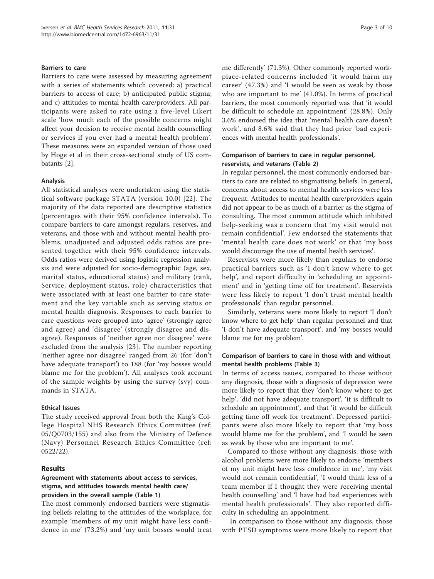## Barriers to care

Barriers to care were assessed by measuring agreement with a series of statements which covered: a) practical barriers to access of care; b) anticipated public stigma; and c) attitudes to mental health care/providers. All participants were asked to rate using a five-level Likert scale 'how much each of the possible concerns might affect your decision to receive mental health counselling or services if you ever had a mental health problem'. These measures were an expanded version of those used by Hoge et al in their cross-sectional study of US combatants [\[2](#page-8-0)].

## Analysis

All statistical analyses were undertaken using the statistical software package STATA (version 10.0) [[22\]](#page-9-0). The majority of the data reported are descriptive statistics (percentages with their 95% confidence intervals). To compare barriers to care amongst regulars, reserves, and veterans, and those with and without mental health problems, unadjusted and adjusted odds ratios are presented together with their 95% confidence intervals. Odds ratios were derived using logistic regression analysis and were adjusted for socio-demographic (age, sex, marital status, educational status) and military (rank, Service, deployment status, role) characteristics that were associated with at least one barrier to care statement and the key variable such as serving status or mental health diagnosis. Responses to each barrier to care questions were grouped into 'agree' (strongly agree and agree) and 'disagree' (strongly disagree and disagree). Responses of 'neither agree nor disagree' were excluded from the analysis [[23\]](#page-9-0). The number reporting 'neither agree nor disagree' ranged from 26 (for 'don't have adequate transport') to 188 (for 'my bosses would blame me for the problem'). All analyses took account of the sample weights by using the survey (svy) commands in STATA.

## Ethical Issues

The study received approval from both the King's College Hospital NHS Research Ethics Committee (ref: 05/Q0703/155) and also from the Ministry of Defence (Navy) Personnel Research Ethics Committee (ref: 0522/22).

## Results

## Agreement with statements about access to services, stigma, and attitudes towards mental health care/ providers in the overall sample (Table [1](#page-3-0))

The most commonly endorsed barriers were stigmatising beliefs relating to the attitudes of the workplace, for example 'members of my unit might have less confidence in me' (73.2%) and 'my unit bosses would treat me differently' (71.3%). Other commonly reported workplace-related concerns included 'it would harm my career' (47.3%) and 'I would be seen as weak by those who are important to me' (41.0%). In terms of practical barriers, the most commonly reported was that 'it would be difficult to schedule an appointment' (28.8%). Only 3.6% endorsed the idea that 'mental health care doesn't work', and 8.6% said that they had prior 'bad experiences with mental health professionals'.

## Comparison of barriers to care in regular personnel, reservists, and veterans (Table [2](#page-4-0))

In regular personnel, the most commonly endorsed barriers to care are related to stigmatising beliefs. In general, concerns about access to mental health services were less frequent. Attitudes to mental health care/providers again did not appear to be as much of a barrier as the stigma of consulting. The most common attitude which inhibited help-seeking was a concern that 'my visit would not remain confidential'. Few endorsed the statements that 'mental health care does not work' or that 'my boss would discourage the use of mental health services'.

Reservists were more likely than regulars to endorse practical barriers such as 'I don't know where to get help', and report difficulty in 'scheduling an appointment' and in 'getting time off for treatment'. Reservists were less likely to report 'I don't trust mental health professionals' than regular personnel.

Similarly, veterans were more likely to report 'I don't know where to get help' than regular personnel and that 'I don't have adequate transport', and 'my bosses would blame me for my problem'.

## Comparison of barriers to care in those with and without mental health problems (Table [3](#page-5-0))

In terms of access issues, compared to those without any diagnosis, those with a diagnosis of depression were more likely to report that they 'don't know where to get help', 'did not have adequate transport', 'it is difficult to schedule an appointment', and that 'it would be difficult getting time off work for treatment'. Depressed participants were also more likely to report that 'my boss would blame me for the problem', and 'I would be seen as weak by those who are important to me'.

Compared to those without any diagnosis, those with alcohol problems were more likely to endorse 'members of my unit might have less confidence in me', 'my visit would not remain confidential', 'I would think less of a team member if I thought they were receiving mental health counselling' and 'I have had bad experiences with mental health professionals'. They also reported difficulty in scheduling an appointment.

In comparison to those without any diagnosis, those with PTSD symptoms were more likely to report that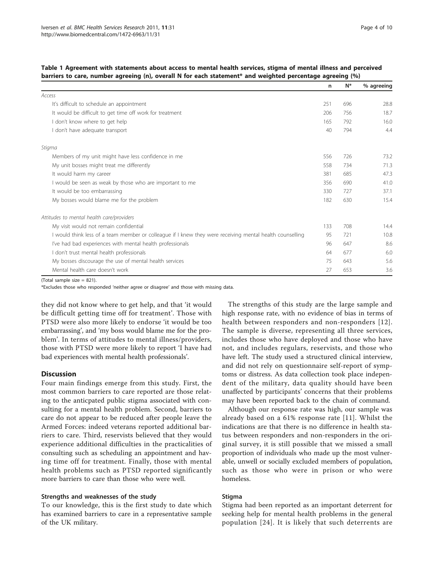|                                                                                                          | n   | $N^*$ | % agreeing |
|----------------------------------------------------------------------------------------------------------|-----|-------|------------|
| Access                                                                                                   |     |       |            |
| It's difficult to schedule an appointment                                                                | 251 | 696   | 28.8       |
| It would be difficult to get time off work for treatment                                                 | 206 | 756   | 18.7       |
| I don't know where to get help                                                                           | 165 | 792   | 16.0       |
| I don't have adequate transport                                                                          | 40  | 794   | 4.4        |
| Stigma                                                                                                   |     |       |            |
| Members of my unit might have less confidence in me                                                      | 556 | 726   | 73.2       |
| My unit bosses might treat me differently                                                                | 558 | 734   | 71.3       |
| It would harm my career                                                                                  | 381 | 685   | 47.3       |
| I would be seen as weak by those who are important to me                                                 | 356 | 690   | 41.0       |
| It would be too embarrassing                                                                             | 330 | 727   | 37.1       |
| My bosses would blame me for the problem                                                                 | 182 | 630   | 15.4       |
| Attitudes to mental health care/providers                                                                |     |       |            |
| My visit would not remain confidential                                                                   | 133 | 708   | 14.4       |
| I would think less of a team member or colleague if I knew they were receiving mental health counselling | 95  | 721   | 10.8       |
| I've had bad experiences with mental health professionals                                                | 96  | 647   | 8.6        |
| don't trust mental health professionals                                                                  | 64  | 677   | 6.0        |
| My bosses discourage the use of mental health services                                                   | 75  | 643   | 5.6        |
| Mental health care doesn't work                                                                          | 27  | 653   | 3.6        |

<span id="page-3-0"></span>Table 1 Agreement with statements about access to mental health services, stigma of mental illness and perceived barriers to care, number agreeing (n), overall N for each statement\* and weighted percentage agreeing (%)

(Total sample size = 821).

\*Excludes those who responded 'neither agree or disagree' and those with missing data.

they did not know where to get help, and that 'it would be difficult getting time off for treatment'. Those with PTSD were also more likely to endorse 'it would be too embarrassing', and 'my boss would blame me for the problem'. In terms of attitudes to mental illness/providers, those with PTSD were more likely to report 'I have had bad experiences with mental health professionals'.

## **Discussion**

Four main findings emerge from this study. First, the most common barriers to care reported are those relating to the anticpated public stigma associated with consulting for a mental health problem. Second, barriers to care do not appear to be reduced after people leave the Armed Forces: indeed veterans reported additional barriers to care. Third, reservists believed that they would experience additional difficulties in the practicalities of consulting such as scheduling an appointment and having time off for treatment. Finally, those with mental health problems such as PTSD reported significantly more barriers to care than those who were well.

## Strengths and weaknesses of the study

To our knowledge, this is the first study to date which has examined barriers to care in a representative sample of the UK military.

The strengths of this study are the large sample and high response rate, with no evidence of bias in terms of health between responders and non-responders [\[12\]](#page-8-0). The sample is diverse, representing all three services, includes those who have deployed and those who have not, and includes regulars, reservists, and those who have left. The study used a structured clinical interview, and did not rely on questionnaire self-report of symptoms or distress. As data collection took place independent of the military, data quality should have been unaffected by participants' concerns that their problems may have been reported back to the chain of command.

Although our response rate was high, our sample was already based on a 61% response rate [[11](#page-8-0)]. Whilst the indications are that there is no difference in health status between responders and non-responders in the original survey, it is still possible that we missed a small proportion of individuals who made up the most vulnerable, unwell or socially excluded members of population, such as those who were in prison or who were homeless.

## Stigma

Stigma had been reported as an important deterrent for seeking help for mental health problems in the general population [[24](#page-9-0)]. It is likely that such deterrents are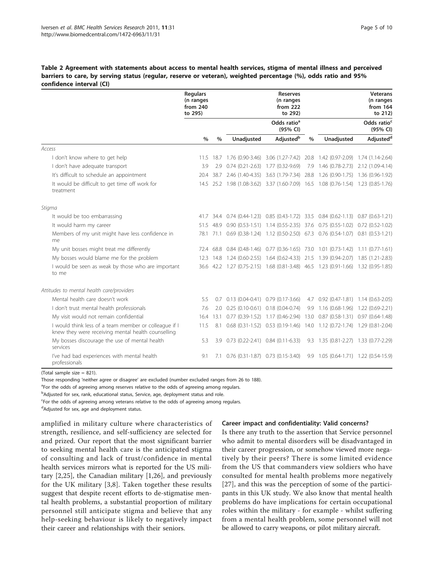<span id="page-4-0"></span>Table 2 Agreement with statements about access to mental health services, stigma of mental illness and perceived barriers to care, by serving status (regular, reserve or veteran), weighted percentage (%), odds ratio and 95% confidence interval (CI)

|                                                                                                             | <b>Regulars</b><br>(n ranges<br>from 240<br>to 295) |      |                                                                                    | <b>Reserves</b><br>(n ranges<br>from 222<br>to 292) |      |                                       | <b>Veterans</b><br>(n ranges<br>from 164<br>to 212) |  |
|-------------------------------------------------------------------------------------------------------------|-----------------------------------------------------|------|------------------------------------------------------------------------------------|-----------------------------------------------------|------|---------------------------------------|-----------------------------------------------------|--|
|                                                                                                             |                                                     |      |                                                                                    | Odds ratio <sup>a</sup><br>(95% CI)                 |      | Odds ratio <sup>c</sup><br>(95% CI)   |                                                     |  |
|                                                                                                             | $\frac{0}{0}$                                       | $\%$ | Unadjusted                                                                         | Adjusted <sup>b</sup>                               | $\%$ | Unadjusted                            | Adjusted <sup>d</sup>                               |  |
| Access                                                                                                      |                                                     |      |                                                                                    |                                                     |      |                                       |                                                     |  |
| I don't know where to get help                                                                              |                                                     |      | 11.5 18.7 1.76 (0.90-3.46) 3.06 (1.27-7.42) 20.8 1.42 (0.97-2.09) 1.74 (1.14-2.64) |                                                     |      |                                       |                                                     |  |
| I don't have adequate transport                                                                             | 3.9                                                 |      | 2.9 0.74 (0.21-2.63) 1.77 (0.32-9.69)                                              |                                                     |      | 7.9 1.46 (0.78-2.73) 2.12 (1.09-4.14) |                                                     |  |
| It's difficult to schedule an appointment                                                                   | 20.4                                                |      | 38.7 2.46 (1.40-4.35) 3.63 (1.79-7.34) 28.8 1.26 (0.90-1.75) 1.36 (0.96-1.92)      |                                                     |      |                                       |                                                     |  |
| It would be difficult to get time off work for<br>treatment                                                 |                                                     |      | 14.5 25.2 1.98 (1.08-3.62) 3.37 (1.60-7.09) 16.5 1.08 (0.76-1.54) 1.23 (0.85-1.76) |                                                     |      |                                       |                                                     |  |
| Stigma                                                                                                      |                                                     |      |                                                                                    |                                                     |      |                                       |                                                     |  |
| It would be too embarrassing                                                                                |                                                     |      | 41.7 34.4 0.74 (0.44-1.23) 0.85 (0.43-1.72) 33.5 0.84 (0.62-1.13) 0.87 (0.63-1.21) |                                                     |      |                                       |                                                     |  |
| It would harm my career                                                                                     |                                                     |      | 51.5 48.9 0.90 (0.53-1.51) 1.14 (0.55-2.35) 37.6 0.75 (0.55-1.02) 0.72 (0.52-1.02) |                                                     |      |                                       |                                                     |  |
| Members of my unit might have less confidence in<br>me                                                      |                                                     |      | 78.1 71.1 0.69 (0.38-1.24) 1.12 (0.50-2.50) 67.3 0.76 (0.54-1.07) 0.81 (0.53-1.21) |                                                     |      |                                       |                                                     |  |
| My unit bosses might treat me differently                                                                   |                                                     |      | 72.4 68.8 0.84 (0.48-1.46) 0.77 (0.36-1.65) 73.0 1.01 (0.73-1.42) 1.11 (0.77-1.61) |                                                     |      |                                       |                                                     |  |
| My bosses would blame me for the problem                                                                    |                                                     |      | 12.3 14.8 1.24 (0.60-2.55) 1.64 (0.62-4.33) 21.5 1.39 (0.94-2.07) 1.85 (1.21-2.83) |                                                     |      |                                       |                                                     |  |
| I would be seen as weak by those who are important<br>to me                                                 |                                                     |      | 36.6 42.2 1.27 (0.75-2.15) 1.68 (0.81-3.48) 46.5 1.23 (0.91-1.66) 1.32 (0.95-1.85) |                                                     |      |                                       |                                                     |  |
| Attitudes to mental health care/providers                                                                   |                                                     |      |                                                                                    |                                                     |      |                                       |                                                     |  |
| Mental health care doesn't work                                                                             | 5.5                                                 |      | $0.7$ $0.13$ $(0.04 - 0.41)$ $0.79$ $(0.17 - 3.66)$                                |                                                     |      | 4.7 0.92 (0.47-1.81) 1.14 (0.63-2.05) |                                                     |  |
| I don't trust mental health professionals                                                                   | 7.6                                                 |      | 2.0 0.25 (0.10-0.61) 0.18 (0.04-0.74)                                              |                                                     |      | 9.9 1.16 (0.68-1.96) 1.22 (0.69-2.21) |                                                     |  |
| My visit would not remain confidential                                                                      | 16.4                                                |      | 13.1 0.77 (0.39-1.52) 1.17 (0.46-2.94) 13.0 0.87 (0.58-1.31) 0.97 (0.64-1.48)      |                                                     |      |                                       |                                                     |  |
| I would think less of a team member or colleague if I<br>knew they were receiving mental health counselling | 11.5                                                |      | 8.1 0.68 (0.31-1.52) 0.53 (0.19-1.46) 14.0 1.12 (0.72-1.74) 1.29 (0.81-2.04)       |                                                     |      |                                       |                                                     |  |
| My bosses discourage the use of mental health<br>services                                                   | 5.3                                                 |      | 3.9 0.73 (0.22-2.41) 0.84 (0.11-6.33)                                              |                                                     |      | 9.3 1.35 (0.81-2.27) 1.33 (0.77-2.29) |                                                     |  |
| I've had bad experiences with mental health<br>professionals                                                | 9.1                                                 | 7.1  |                                                                                    | $0.76$ $(0.31-1.87)$ $0.73$ $(0.15-3.40)$           |      | 9.9 1.05 (0.64-1.71) 1.22 (0.54-15.9) |                                                     |  |

(Total sample size = 821).

Those responding 'neither agree or disagree' are excluded (number excluded ranges from 26 to 188).

<sup>a</sup>For the odds of agreeing among reserves relative to the odds of agreeing among regulars.

<sup>b</sup>Adjusted for sex, rank, educational status, Service, age, deployment status and role.

For the odds of agreeing among veterans relative to the odds of agreeing among regulars.

<sup>d</sup>Adjusted for sex, age and deployment status.

amplified in military culture where characteristics of strength, resilience, and self-sufficiency are selected for and prized. Our report that the most significant barrier to seeking mental health care is the anticipated stigma of consulting and lack of trust/confidence in mental health services mirrors what is reported for the US military [\[2](#page-8-0),[25\]](#page-9-0), the Canadian military [\[1](#page-8-0),[26\]](#page-9-0), and previously for the UK military [[3,8](#page-8-0)]. Taken together these results suggest that despite recent efforts to de-stigmatise mental health problems, a substantial proportion of military personnel still anticipate stigma and believe that any help-seeking behaviour is likely to negatively impact their career and relationships with their seniors.

#### Career impact and confidentiality: Valid concerns?

Is there any truth to the assertion that Service personnel who admit to mental disorders will be disadvantaged in their career progression, or somehow viewed more negatively by their peers? There is some limited evidence from the US that commanders view soldiers who have consulted for mental health problems more negatively [[27](#page-9-0)], and this was the perception of some of the participants in this UK study. We also know that mental health problems do have implications for certain occupational roles within the military - for example - whilst suffering from a mental health problem, some personnel will not be allowed to carry weapons, or pilot military aircraft.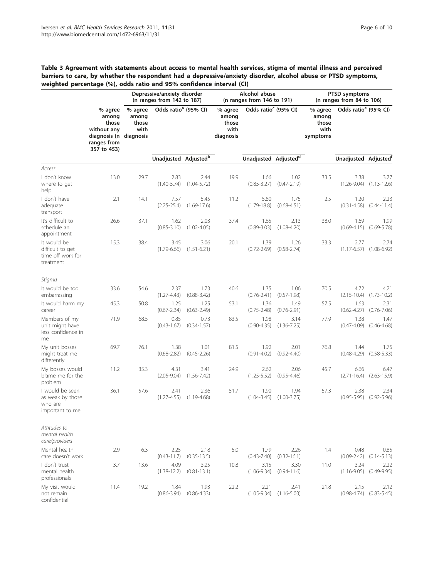<span id="page-5-0"></span>Table 3 Agreement with statements about access to mental health services, stigma of mental illness and perceived barriers to care, by whether the respondent had a depressive/anxiety disorder, alcohol abuse or PTSD symptoms, weighted percentage (%), odds ratio and 95% confidence interval (CI)

|                                                                   |                                                                                                  | Depressive/anxiety disorder<br>(n ranges from 142 to 187) |                                  |                         |                                                | Alcohol abuse<br>(n ranges from 146 to 191) |                         | PTSD symptoms<br>(n ranges from 84 to 106)    |                                  |                                     |  |
|-------------------------------------------------------------------|--------------------------------------------------------------------------------------------------|-----------------------------------------------------------|----------------------------------|-------------------------|------------------------------------------------|---------------------------------------------|-------------------------|-----------------------------------------------|----------------------------------|-------------------------------------|--|
|                                                                   | % agree<br>among<br>those<br>without any<br>diagnosis (n diagnosis<br>ranges from<br>357 to 453) | % agree<br>among<br>those<br>with                         | Odds ratio <sup>a</sup> (95% CI) |                         | % agree<br>among<br>those<br>with<br>diagnosis | Odds ratio <sup>c</sup> (95% CI)            |                         | % agree<br>among<br>those<br>with<br>symptoms | Odds ratio <sup>e</sup> (95% CI) |                                     |  |
|                                                                   |                                                                                                  |                                                           | Unadjusted Adjusted <sup>b</sup> |                         |                                                | Unadjusted Adjusted <sup>d</sup>            |                         |                                               | Unadjusted Adjusted <sup>f</sup> |                                     |  |
| Access                                                            |                                                                                                  |                                                           |                                  |                         |                                                |                                             |                         |                                               |                                  |                                     |  |
| I don't know<br>where to get<br>help                              | 13.0                                                                                             | 29.7                                                      | 2.83<br>$(1.40 - 5.74)$          | 2.44<br>$(1.04 - 5.72)$ | 19.9                                           | 1.66<br>$(0.85 - 3.27)$                     | 1.02<br>$(0.47 - 2.19)$ | 33.5                                          | 3.38                             | 3.77<br>$(1.26-9.04)$ $(1.13-12.6)$ |  |
| I don't have<br>adequate<br>transport                             | 2.1                                                                                              | 14.1                                                      | 7.57<br>$(2.25 - 25.4)$          | 5.45<br>$(1.69 - 17.6)$ | 11.2                                           | 5.80<br>$(1.79 - 18.8)$                     | 1.75<br>$(0.68 - 4.51)$ | 2.5                                           | 1.20<br>$(0.31 - 4.58)$          | 2.23<br>$(0.44 - 11.4)$             |  |
| It's difficult to<br>schedule an<br>appointment                   | 26.6                                                                                             | 37.1                                                      | 1.62<br>$(0.85 - 3.10)$          | 2.03<br>$(1.02 - 4.05)$ | 37.4                                           | 1.65<br>$(0.89 - 3.03)$                     | 2.13<br>$(1.08 - 4.20)$ | 38.0                                          | 1.69<br>$(0.69 - 4.15)$          | 1.99<br>$(0.69 - 5.78)$             |  |
| It would be<br>difficult to get<br>time off work for<br>treatment | 15.3                                                                                             | 38.4                                                      | 3.45<br>$(1.79 - 6.66)$          | 3.06<br>$(1.51 - 6.21)$ | 20.1                                           | 1.39<br>$(0.72 - 2.69)$                     | 1.26<br>$(0.58 - 2.74)$ | 33.3                                          | 2.77                             | 2.74<br>$(1.17-6.57)$ $(1.08-6.92)$ |  |
| Stigma                                                            |                                                                                                  |                                                           |                                  |                         |                                                |                                             |                         |                                               |                                  |                                     |  |
| It would be too<br>embarrassing                                   | 33.6                                                                                             | 54.6                                                      | 2.37<br>$(1.27 - 4.43)$          | 1.73<br>$(0.88 - 3.42)$ | 40.6                                           | 1.35<br>$(0.76 - 2.41)$                     | 1.06<br>$(0.57 - 1.98)$ | 70.5                                          | 4.72<br>$(2.15 - 10.4)$          | 4.21<br>$(1.73 - 10.2)$             |  |
| It would harm my<br>career                                        | 45.3                                                                                             | 50.8                                                      | 1.25<br>$(0.67 - 2.34)$          | 1.25<br>$(0.63 - 2.49)$ | 53.1                                           | 1.36<br>$(0.75 - 2.48)$                     | 1.49<br>$(0.76 - 2.91)$ | 57.5                                          | 1.63<br>$(0.62 - 4.27)$          | 2.31<br>$(0.76 - 7.06)$             |  |
| Members of my<br>unit might have<br>less confidence in<br>me      | 71.9                                                                                             | 68.5                                                      | 0.85<br>$(0.43 - 1.67)$          | 0.73<br>$(0.34 - 1.57)$ | 83.5                                           | 1.98<br>$(0.90 - 4.35)$                     | 3.14<br>$(1.36 - 7.25)$ | 77.9                                          | 1.38<br>$(0.47 - 4.09)$          | 1.47<br>$(0.46 - 4.68)$             |  |
| My unit bosses<br>might treat me<br>differently                   | 69.7                                                                                             | 76.1                                                      | 1.38<br>$(0.68 - 2.82)$          | 1.01<br>$(0.45 - 2.26)$ | 81.5                                           | 1.92<br>$(0.91 - 4.02)$                     | 2.01<br>$(0.92 - 4.40)$ | 76.8                                          | 1.44<br>$(0.48 - 4.29)$          | 1.75<br>$(0.58 - 5.33)$             |  |
| My bosses would<br>blame me for the<br>problem                    | 11.2                                                                                             | 35.3                                                      | 4.31<br>$(2.05 - 9.04)$          | 3.41<br>$(1.56 - 7.42)$ | 24.9                                           | 2.62<br>$(1.25 - 5.52)$                     | 2.06<br>$(0.95 - 4.46)$ | 45.7                                          | 6.66<br>$(2.71 - 16.4)$          | 6.47<br>$(2.63 - 15.9)$             |  |
| I would be seen<br>as weak by those<br>who are<br>important to me | 36.1                                                                                             | 57.6                                                      | 2.41<br>$(1.27 - 4.55)$          | 2.36<br>$(1.19 - 4.68)$ | 51.7                                           | 1.90<br>$(1.04 - 3.45)$                     | 1.94<br>$(1.00 - 3.75)$ | 57.3                                          | 2.38<br>$(0.95 - 5.95)$          | 2.34<br>$(0.92 - 5.96)$             |  |
| Attitudes to<br>mental health<br>care/providers                   |                                                                                                  |                                                           |                                  |                         |                                                |                                             |                         |                                               |                                  |                                     |  |
| Mental health<br>care doesn't work                                | 2.9                                                                                              | 6.3                                                       | 2.25<br>$(0.43 - 11.7)$          | 2.18<br>$(0.35 - 13.5)$ | 5.0                                            | 1.79<br>$(0.43 - 7.40)$                     | 2.26<br>$(0.32 - 16.1)$ | 1.4                                           | 0.48<br>$(0.09 - 2.42)$          | 0.85<br>$(0.14 - 5.13)$             |  |
| I don't trust<br>mental health<br>professionals                   | 3.7                                                                                              | 13.6                                                      | 4.09<br>$(1.38 - 12.2)$          | 3.25<br>$(0.81 - 13.1)$ | 10.8                                           | 3.15<br>$(1.06 - 9.34)$                     | 3.30<br>$(0.94 - 11.6)$ | 11.0                                          | 3.24<br>$(1.16 - 9.05)$          | 2.22<br>$(0.49 - 9.95)$             |  |
| My visit would<br>not remain<br>confidential                      | 11.4                                                                                             | 19.2                                                      | 1.84<br>$(0.86 - 3.94)$          | 1.93<br>$(0.86 - 4.33)$ | 22.2                                           | 2.21<br>$(1.05 - 9.34)$                     | 2.41<br>$(1.16 - 5.03)$ | 21.8                                          | 2.15<br>$(0.98 - 4.74)$          | 2.12<br>$(0.83 - 5.45)$             |  |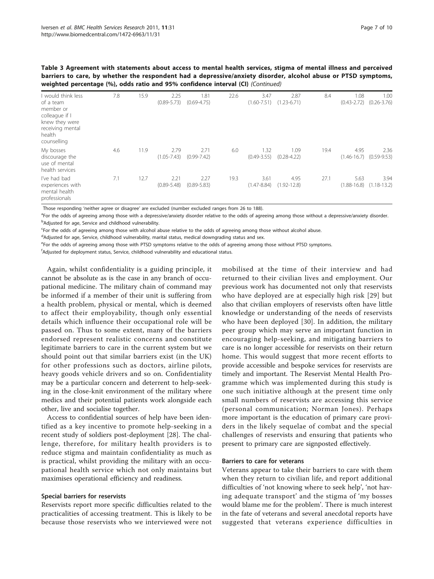| <u>merginear percentage</u> (70)) baas ratio and so <i>to</i> communication meet var (er) (commucu)                         |     |      |                         |                         |      |                         |                         |      |                         |                         |
|-----------------------------------------------------------------------------------------------------------------------------|-----|------|-------------------------|-------------------------|------|-------------------------|-------------------------|------|-------------------------|-------------------------|
| would think less<br>of a team<br>member or<br>colleague if I<br>knew they were<br>receiving mental<br>health<br>counselling | 7.8 | 15.9 | 2.25<br>$(0.89 - 5.73)$ | 1.81<br>$(0.69 - 4.75)$ | 22.6 | 3.47<br>$(1.60 - 7.51)$ | 2.87<br>$(1.23 - 6.71)$ | 8.4  | 1.08<br>$(0.43 - 2.72)$ | 1.00<br>$(0.26 - 3.76)$ |
| My bosses<br>discourage the<br>use of mental<br>health services                                                             | 4.6 | 11.9 | 2.79<br>$(1.05 - 7.43)$ | 2.71<br>$(0.99 - 7.42)$ | 6.0  | 1.32<br>$(0.49 - 3.55)$ | 1.09<br>$(0.28 - 4.22)$ | 19.4 | 4.95<br>$(1.46 - 16.7)$ | 2.36<br>$(0.59 - 9.53)$ |
| I've had bad<br>experiences with<br>mental health<br>professionals                                                          | 7.1 | 12.7 | 2.21<br>$(0.89 - 5.48)$ | 2.27<br>$(0.89 - 5.83)$ | 19.3 | 3.61<br>$(1.47 - 8.84)$ | 4.95<br>$(1.92 - 12.8)$ | 27.1 | 5.63<br>$(1.88 - 16.8)$ | 3.94<br>$(1.18 - 13.2)$ |

Table 3 Agreement with statements about access to mental health services, stigma of mental illness and perceived barriers to care, by whether the respondent had a depressive/anxiety disorder, alcohol abuse or PTSD symptoms, weighted percentage (%), odds ratio and 95% confidence interval (CI) (Continued)

Those responding 'neither agree or disagree' are excluded (number excluded ranges from 26 to 188).

<sup>a</sup>For the odds of agreeing among those with a depressive/anxiety disorder relative to the odds of agreeing among those without a depressive/anxiety disorder. <sup>b</sup>Adjusted for age, Service and childhood vulnerability.

For the odds of agreeing among those with alcohol abuse relative to the odds of agreeing among those without alcohol abuse.

<sup>d</sup>Adjusted for age, Service, childhood vulnerability, marital status, medical downgrading status and sex.

<sup>e</sup>For the odds of agreeing among those with PTSD symptoms relative to the odds of agreeing among those without PTSD symptoms.

f Adjusted for deployment status, Service, childhood vulnerability and educational status.

Again, whilst confidentiality is a guiding principle, it cannot be absolute as is the case in any branch of occupational medicine. The military chain of command may be informed if a member of their unit is suffering from a health problem, physical or mental, which is deemed to affect their employability, though only essential details which influence their occupational role will be passed on. Thus to some extent, many of the barriers endorsed represent realistic concerns and constitute legitimate barriers to care in the current system but we should point out that similar barriers exist (in the UK) for other professions such as doctors, airline pilots, heavy goods vehicle drivers and so on. Confidentiality may be a particular concern and deterrent to help-seeking in the close-knit environment of the military where medics and their potential patients work alongside each other, live and socialise together.

Access to confidential sources of help have been identified as a key incentive to promote help-seeking in a recent study of soldiers post-deployment [\[28\]](#page-9-0). The challenge, therefore, for military health providers is to reduce stigma and maintain confidentiality as much as is practical, whilst providing the military with an occupational health service which not only maintains but maximises operational efficiency and readiness.

## Special barriers for reservists

Reservists report more specific difficulties related to the practicalities of accessing treatment. This is likely to be because those reservists who we interviewed were not

mobilised at the time of their interview and had returned to their civilian lives and employment. Our previous work has documented not only that reservists who have deployed are at especially high risk [[29\]](#page-9-0) but also that civilian employers of reservists often have little knowledge or understanding of the needs of reservists who have been deployed [[30\]](#page-9-0). In addition, the military peer group which may serve an important function in encouraging help-seeking, and mitigating barriers to care is no longer accessible for reservists on their return home. This would suggest that more recent efforts to provide accessible and bespoke services for reservists are timely and important. The Reservist Mental Health Programme which was implemented during this study is one such initiative although at the present time only small numbers of reservists are accessing this service (personal communication; Norman Jones). Perhaps more important is the education of primary care providers in the likely sequelae of combat and the special challenges of reservists and ensuring that patients who present to primary care are signposted effectively.

## Barriers to care for veterans

Veterans appear to take their barriers to care with them when they return to civilian life, and report additional difficulties of 'not knowing where to seek help', 'not having adequate transport' and the stigma of 'my bosses would blame me for the problem'. There is much interest in the fate of veterans and several anecdotal reports have suggested that veterans experience difficulties in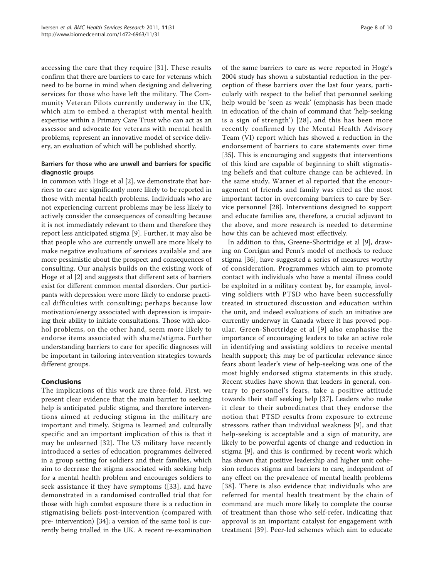accessing the care that they require [[31](#page-9-0)]. These results confirm that there are barriers to care for veterans which need to be borne in mind when designing and delivering services for those who have left the military. The Community Veteran Pilots currently underway in the UK, which aim to embed a therapist with mental health expertise within a Primary Care Trust who can act as an assessor and advocate for veterans with mental health problems, represent an innovative model of service delivery, an evaluation of which will be published shortly.

## Barriers for those who are unwell and barriers for specific diagnostic groups

In common with Hoge et al [[2\]](#page-8-0), we demonstrate that barriers to care are significantly more likely to be reported in those with mental health problems. Individuals who are not experiencing current problems may be less likely to actively consider the consequences of consulting because it is not immediately relevant to them and therefore they report less anticipated stigma [\[9](#page-8-0)]. Further, it may also be that people who are currently unwell are more likely to make negative evaluations of services available and are more pessimistic about the prospect and consequences of consulting. Our analysis builds on the existing work of Hoge et al [[2](#page-8-0)] and suggests that different sets of barriers exist for different common mental disorders. Our participants with depression were more likely to endorse practical difficulties with consulting; perhaps because low motivation/energy associated with depression is impairing their ability to initiate consultations. Those with alcohol problems, on the other hand, seem more likely to endorse items associated with shame/stigma. Further understanding barriers to care for specific diagnoses will be important in tailoring intervention strategies towards different groups.

## Conclusions

The implications of this work are three-fold. First, we present clear evidence that the main barrier to seeking help is anticipated public stigma, and therefore interventions aimed at reducing stigma in the military are important and timely. Stigma is learned and culturally specific and an important implication of this is that it may be unlearned [[32](#page-9-0)]. The US military have recently introduced a series of education programmes delivered in a group setting for soldiers and their families, which aim to decrease the stigma associated with seeking help for a mental health problem and encourages soldiers to seek assistance if they have symptoms ([\[33\]](#page-9-0), and have demonstrated in a randomised controlled trial that for those with high combat exposure there is a reduction in stigmatising beliefs post-intervention (compared with pre- intervention) [[34](#page-9-0)]; a version of the same tool is currently being trialled in the UK. A recent re-examination

of the same barriers to care as were reported in Hoge's 2004 study has shown a substantial reduction in the perception of these barriers over the last four years, particularly with respect to the belief that personnel seeking help would be 'seen as weak' (emphasis has been made in education of the chain of command that 'help-seeking is a sign of strength') [[28](#page-9-0)], and this has been more recently confirmed by the Mental Health Advisory Team (VI) report which has showed a reduction in the endorsement of barriers to care statements over time [[35\]](#page-9-0). This is encouraging and suggests that interventions of this kind are capable of beginning to shift stigmatising beliefs and that culture change can be achieved. In the same study, Warner et al reported that the encouragement of friends and family was cited as the most important factor in overcoming barriers to care by Service personnel [\[28\]](#page-9-0). Interventions designed to support and educate families are, therefore, a crucial adjuvant to the above, and more research is needed to determine how this can be achieved most effectively.

In addition to this, Greene-Shortridge et al [[9\]](#page-8-0), drawing on Corrigan and Penn's model of methods to reduce stigma [\[36](#page-9-0)], have suggested a series of measures worthy of consideration. Programmes which aim to promote contact with individuals who have a mental illness could be exploited in a military context by, for example, involving soldiers with PTSD who have been successfully treated in structured discussion and education within the unit, and indeed evaluations of such an initiative are currently underway in Canada where it has proved popular. Green-Shortridge et al [[9](#page-8-0)] also emphasise the importance of encouraging leaders to take an active role in identifying and assisting soldiers to receive mental health support; this may be of particular relevance since fears about leader's view of help-seeking was one of the most highly endorsed stigma statements in this study. Recent studies have shown that leaders in general, contrary to personnel's fears, take a positive attitude towards their staff seeking help [[37\]](#page-9-0). Leaders who make it clear to their subordinates that they endorse the notion that PTSD results from exposure to extreme stressors rather than individual weakness [[9\]](#page-8-0), and that help-seeking is acceptable and a sign of maturity, are likely to be powerful agents of change and reduction in stigma [[9\]](#page-8-0), and this is confirmed by recent work which has shown that positive leadership and higher unit cohesion reduces stigma and barriers to care, independent of any effect on the prevalence of mental health problems [[38\]](#page-9-0). There is also evidence that individuals who are referred for mental health treatment by the chain of command are much more likely to complete the course of treatment than those who self-refer, indicating that approval is an important catalyst for engagement with treatment [\[39](#page-9-0)]. Peer-led schemes which aim to educate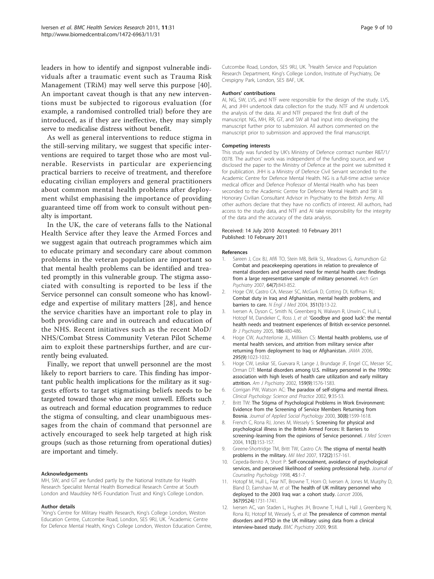<span id="page-8-0"></span>leaders in how to identify and signpost vulnerable individuals after a traumatic event such as Trauma Risk Management (TRiM) may well serve this purpose [[40](#page-9-0)]. An important caveat though is that any new interventions must be subjected to rigorous evaluation (for example, a randomised controlled trial) before they are introduced, as if they are ineffective, they may simply serve to medicalise distress without benefit.

As well as general interventions to reduce stigma in the still-serving military, we suggest that specific interventions are required to target those who are most vulnerable. Reservists in particular are experiencing practical barriers to receive of treatment, and therefore educating civilian employers and general practitioners about common mental health problems after deployment whilst emphasising the importance of providing guaranteed time off from work to consult without penalty is important.

In the UK, the care of veterans falls to the National Health Service after they leave the Armed Forces and we suggest again that outreach programmes which aim to educate primary and secondary care about common problems in the veteran population are important so that mental health problems can be identified and treated promptly in this vulnerable group. The stigma associated with consulting is reported to be less if the Service personnel can consult someone who has knowledge and expertise of military matters [[28\]](#page-9-0), and hence the service charities have an important role to play in both providing care and in outreach and education of the NHS. Recent initiatives such as the recent MoD/ NHS/Combat Stress Community Veteran Pilot Scheme aim to exploit these partnerships further, and are currently being evaluated.

Finally, we report that unwell personnel are the most likely to report barriers to care. This finding has important public health implications for the military as it suggests efforts to target stigmatising beliefs needs to be targeted toward those who are most unwell. Efforts such as outreach and formal education programmes to reduce the stigma of consulting, and clear unambiguous messages from the chain of command that personnel are actively encouraged to seek help targeted at high risk groups (such as those returning from operational duties) are important and timely.

#### Acknowledgements

MH, SW, and GT are funded partly by the National Institute for Health Research Specialist Mental Health Biomedical Research Centre at South London and Maudsley NHS Foundation Trust and King's College London.

#### Author details

<sup>1</sup>King's Centre for Military Health Research, King's College London, Weston Education Centre, Cutcombe Road, London, SE5 9RJ, UK. <sup>2</sup>Academic Centre for Defence Mental Health, King's College London, Weston Education Centre,

Cutcombe Road, London, SE5 9RJ, UK. <sup>3</sup>Health Service and Population Research Department, King's College London, Institute of Psychiatry, De Crespigny Park, London, SE5 8AF, UK.

#### Authors' contributions

AI, NG, SW, LVS, and NTF were responsible for the design of the study. LVS, AI, and JHH undertook data collection for the study. NTF and AI undertook the analysis of the data. AI and NTF prepared the first draft of the manuscript. NG, MH, RR, GT, and SW all had input into developing the manuscript further prior to submission. All authors commented on the manuscript prior to submission and approved the final manuscript.

#### Competing interests

This study was funded by UK's Ministry of Defence contract number R&T/1/ 0078. The authors' work was independent of the funding source, and we disclosed the paper to the Ministry of Defence at the point we submitted it for publication. JHH is a Ministry of Defence Civil Servant seconded to the Academic Centre for Defence Mental Health. NG is a full-time active service medical officer and Defence Professor of Mental Health who has been seconded to the Academic Centre for Defence Mental Health and SW is Honorary Civilian Consultant Advisor in Psychiatry to the British Army. All other authors declare that they have no conflicts of interest. All authors, had access to the study data, and NTF and AI take responsibility for the integrity of the data and the accuracy of the data analysis.

#### Received: 14 July 2010 Accepted: 10 February 2011 Published: 10 February 2011

#### References

- 1. Sareen J, Cox BJ, Afifi TO, Stein MB, Belik SL, Meadows G, Asmundson GJ: [Combat and peacekeeping operations in relation to prevalence of](http://www.ncbi.nlm.nih.gov/pubmed/17606818?dopt=Abstract) [mental disorders and perceived need for mental health care: findings](http://www.ncbi.nlm.nih.gov/pubmed/17606818?dopt=Abstract) [from a large representative sample of military personnel.](http://www.ncbi.nlm.nih.gov/pubmed/17606818?dopt=Abstract) Arch Gen Psychiatry 2007, 64(7):843-852.
- 2. Hoge CW, Castro CA, Messer SC, McGurk D, Cotting DI, Koffman RL: [Combat duty in Iraq and Afghanistan, mental health problems, and](http://www.ncbi.nlm.nih.gov/pubmed/15229303?dopt=Abstract) [barriers to care.](http://www.ncbi.nlm.nih.gov/pubmed/15229303?dopt=Abstract) N Engl J Med 2004, 351(1):13-22.
- 3. Iversen A, Dyson C, Smith N, Greenberg N, Walwyn R, Unwin C, Hull L, Hotopf M, Dandeker C, Ross J, et al: '[Goodbye and good luck](http://www.ncbi.nlm.nih.gov/pubmed/15928358?dopt=Abstract)': the mental [health needs and treatment experiences of British ex-service personnel.](http://www.ncbi.nlm.nih.gov/pubmed/15928358?dopt=Abstract) Br J Psychiatry 2005, 186:480-486.
- 4. Hoge CW, Auchterlonie JL, Milliken CS: [Mental health problems, use of](http://www.ncbi.nlm.nih.gov/pubmed/16507803?dopt=Abstract) [mental health services, and attrition from military service after](http://www.ncbi.nlm.nih.gov/pubmed/16507803?dopt=Abstract) [returning from deployment to Iraq or Afghanistan.](http://www.ncbi.nlm.nih.gov/pubmed/16507803?dopt=Abstract) JAMA 2006, 295(9):1023-1032.
- 5. Hoge CW, Lesikar SE, Guevara R, Lange J, Brundage JF, Engel CC, Messer SC, Orman DT: [Mental disorders among U.S. military personnel in the 1990s:](http://www.ncbi.nlm.nih.gov/pubmed/12202280?dopt=Abstract) [association with high levels of health care utilization and early military](http://www.ncbi.nlm.nih.gov/pubmed/12202280?dopt=Abstract) [attrition.](http://www.ncbi.nlm.nih.gov/pubmed/12202280?dopt=Abstract) Am J Psychiatry 2002, 159(9):1576-1583.
- 6. Corrigan PW, Watson AC: The paradox of self-stigma and mental illness. Clinical Psychology: Science and Practice 2002, 9:35-53.
- 7. Britt TW: The Stigma of Psychological Problems in Work Environment: Evidence from the Screening of Service Members Returning from Bosnia. Journal of Applied Social Psychology 2000, 30(8):1599-1618.
- 8. French C, Rona RJ, Jones M, Wessely S: [Screening for physical and](http://www.ncbi.nlm.nih.gov/pubmed/15333275?dopt=Abstract) [psychological illness in the British Armed Forces: II: Barriers to](http://www.ncbi.nlm.nih.gov/pubmed/15333275?dopt=Abstract) screening–[learning from the opinions of Service personnel.](http://www.ncbi.nlm.nih.gov/pubmed/15333275?dopt=Abstract) J Med Screen 2004, 11(3):153-157.
- 9. Greene-Shortridge TM, Britt TW, Castro CA: [The stigma of mental health](http://www.ncbi.nlm.nih.gov/pubmed/17357770?dopt=Abstract) [problems in the military.](http://www.ncbi.nlm.nih.gov/pubmed/17357770?dopt=Abstract) Mil Med 2007, 172(2):157-161.
- 10. Cepeda-Benito A, Short P: Self-concealment, avoidance of psychological services, and perceived likelihood of seeking professional help. Journal of Counseling Psychology 1998, 45:1-7.
- 11. Hotopf M, Hull L, Fear NT, Browne T, Horn O, Iversen A, Jones M, Murphy D, Bland D, Earnshaw M, et al: [The health of UK military personnel who](http://www.ncbi.nlm.nih.gov/pubmed/16731268?dopt=Abstract) [deployed to the 2003 Iraq war: a cohort study.](http://www.ncbi.nlm.nih.gov/pubmed/16731268?dopt=Abstract) Lancet 2006, 367(9524):1731-1741.
- 12. Iversen AC, van Staden L, Hughes JH, Browne T, Hull L, Hall J, Greenberg N, Rona RJ, Hotopf M, Wessely S, et al: [The prevalence of common mental](http://www.ncbi.nlm.nih.gov/pubmed/19878538?dopt=Abstract) [disorders and PTSD in the UK military: using data from a clinical](http://www.ncbi.nlm.nih.gov/pubmed/19878538?dopt=Abstract) [interview-based study.](http://www.ncbi.nlm.nih.gov/pubmed/19878538?dopt=Abstract) BMC Psychiatry 2009, 9:68.